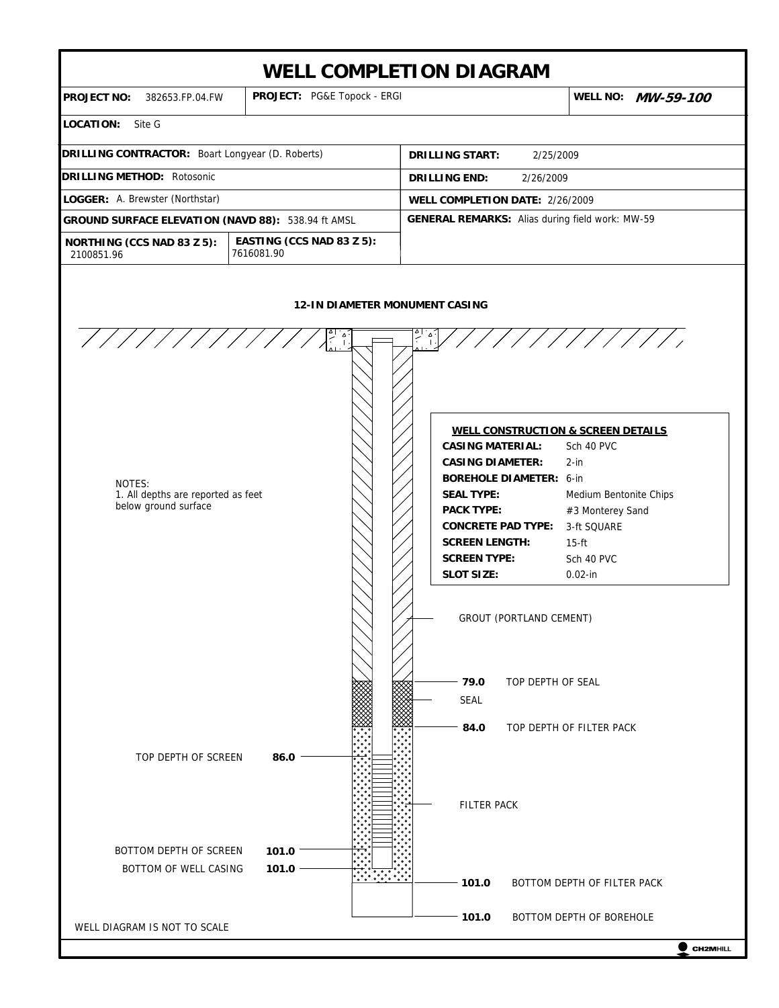



WELL DIAGRAM IS NOT TO SCALE

 $\bullet$  CH2MHILL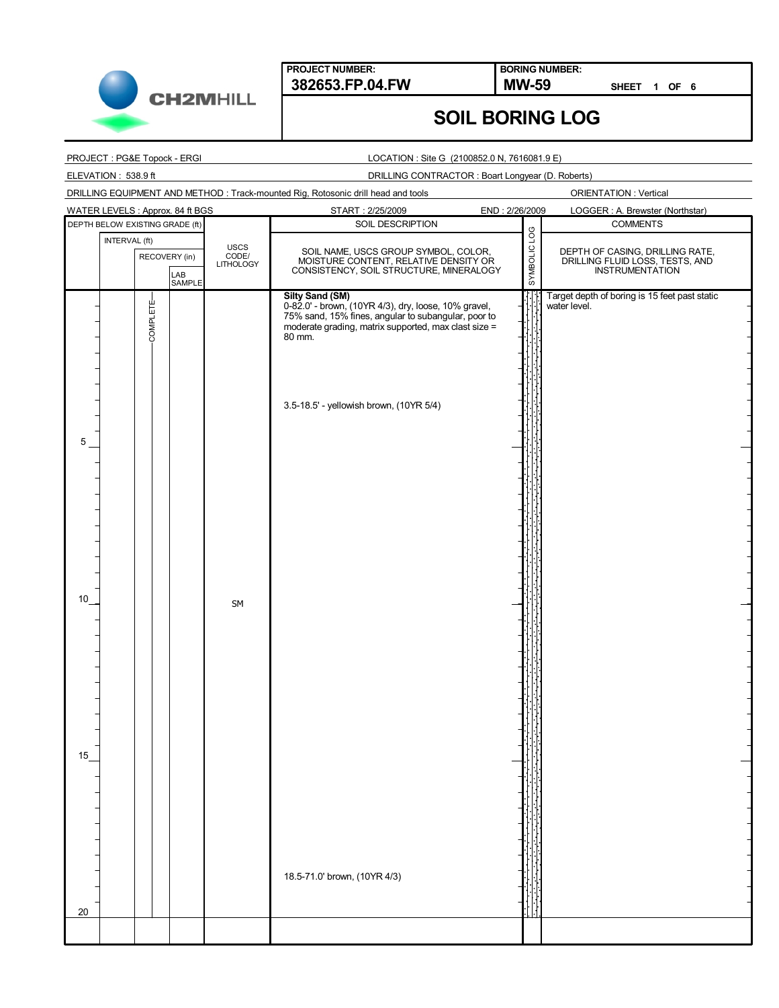

**BORING NUMBER:**

**SHEET 1 OF 6**

## **SOIL BORING LOG**

#### PROJECT : PG&E Topock - ERGI

ELEVATION : 538.9 ft

#### LOCATION : Site G (2100852.0 N, 7616081.9 E)

#### DRILLING CONTRACTOR : Boart Longyear (D. Roberts)

| DRILLING EQUIPMENT AND METHOD: Track-mounted Rig, Rotosonic drill head and tools |  |
|----------------------------------------------------------------------------------|--|
|                                                                                  |  |

ORIENTATION : Vertical

|                 |                                 |               | WATER LEVELS : Approx. 84 ft BGS |                            | START: 2/25/2009                                                                                                               | END: 2/26/2009 |              | LOGGER: A. Brewster (Northstar)                                    |
|-----------------|---------------------------------|---------------|----------------------------------|----------------------------|--------------------------------------------------------------------------------------------------------------------------------|----------------|--------------|--------------------------------------------------------------------|
|                 | DEPTH BELOW EXISTING GRADE (ft) |               |                                  |                            | SOIL DESCRIPTION                                                                                                               |                |              | <b>COMMENTS</b>                                                    |
|                 | INTERVAL (ft)                   |               |                                  |                            |                                                                                                                                |                |              |                                                                    |
|                 |                                 |               |                                  | USCS<br>CODE/<br>LITHOLOGY |                                                                                                                                |                | SYMBOLIC LOG |                                                                    |
|                 |                                 | RECOVERY (in) |                                  |                            | SOIL NAME, USCS GROUP SYMBOL, COLOR,<br>MOISTURE CONTENT, RELATIVE DENSITY OR                                                  |                |              | DEPTH OF CASING, DRILLING RATE,<br>DRILLING FLUID LOSS, TESTS, AND |
|                 |                                 |               |                                  |                            | CONSISTENCY, SOIL STRUCTURE, MINERALOGY                                                                                        |                |              | <b>INSTRUMENTATION</b>                                             |
|                 |                                 |               | LAB<br>SAMPLE                    |                            |                                                                                                                                |                |              |                                                                    |
|                 |                                 |               |                                  |                            |                                                                                                                                |                |              | Target depth of boring is 15 feet past static                      |
|                 |                                 |               |                                  |                            | Silty Sand (SM)<br>0-82.0' - brown, (10YR 4/3), dry, loose, 10% gravel,<br>75% sand, 15% fines, angular to subangular, poor to |                |              | water level.                                                       |
|                 |                                 |               |                                  |                            | moderate grading, matrix supported, max clast size =                                                                           |                |              |                                                                    |
|                 |                                 | COMPLETE-     |                                  |                            | 80 mm.                                                                                                                         |                |              |                                                                    |
|                 |                                 |               |                                  |                            |                                                                                                                                |                |              |                                                                    |
|                 |                                 |               |                                  |                            |                                                                                                                                |                |              |                                                                    |
|                 |                                 |               |                                  |                            |                                                                                                                                |                |              |                                                                    |
|                 |                                 |               |                                  |                            |                                                                                                                                |                |              |                                                                    |
|                 |                                 |               |                                  |                            |                                                                                                                                |                |              |                                                                    |
|                 |                                 |               |                                  |                            | 3.5-18.5' - yellowish brown, (10YR 5/4)                                                                                        |                |              |                                                                    |
|                 |                                 |               |                                  |                            |                                                                                                                                |                |              |                                                                    |
|                 |                                 |               |                                  |                            |                                                                                                                                |                |              |                                                                    |
| $5\phantom{.0}$ |                                 |               |                                  |                            |                                                                                                                                |                |              |                                                                    |
|                 |                                 |               |                                  |                            |                                                                                                                                |                |              |                                                                    |
|                 |                                 |               |                                  |                            |                                                                                                                                |                |              |                                                                    |
|                 |                                 |               |                                  |                            |                                                                                                                                |                |              |                                                                    |
|                 |                                 |               |                                  |                            |                                                                                                                                |                |              |                                                                    |
|                 |                                 |               |                                  |                            |                                                                                                                                |                |              |                                                                    |
|                 |                                 |               |                                  |                            |                                                                                                                                |                |              |                                                                    |
|                 |                                 |               |                                  |                            |                                                                                                                                |                |              |                                                                    |
|                 |                                 |               |                                  |                            |                                                                                                                                |                |              |                                                                    |
|                 |                                 |               |                                  |                            |                                                                                                                                |                |              |                                                                    |
|                 |                                 |               |                                  |                            |                                                                                                                                |                |              |                                                                    |
|                 |                                 |               |                                  |                            |                                                                                                                                |                |              |                                                                    |
| 10              |                                 |               |                                  | SM                         |                                                                                                                                |                |              |                                                                    |
|                 |                                 |               |                                  |                            |                                                                                                                                |                |              |                                                                    |
|                 |                                 |               |                                  |                            |                                                                                                                                |                |              |                                                                    |
|                 |                                 |               |                                  |                            |                                                                                                                                |                |              |                                                                    |
|                 |                                 |               |                                  |                            |                                                                                                                                |                |              |                                                                    |
|                 |                                 |               |                                  |                            |                                                                                                                                |                |              |                                                                    |
|                 |                                 |               |                                  |                            |                                                                                                                                |                |              |                                                                    |
|                 |                                 |               |                                  |                            |                                                                                                                                |                |              |                                                                    |
|                 |                                 |               |                                  |                            |                                                                                                                                |                |              |                                                                    |
|                 |                                 |               |                                  |                            |                                                                                                                                |                |              |                                                                    |
|                 |                                 |               |                                  |                            |                                                                                                                                |                |              |                                                                    |
|                 |                                 |               |                                  |                            |                                                                                                                                |                |              |                                                                    |
|                 |                                 |               |                                  |                            |                                                                                                                                |                |              |                                                                    |
| 15              |                                 |               |                                  |                            |                                                                                                                                |                |              |                                                                    |
|                 |                                 |               |                                  |                            |                                                                                                                                |                |              |                                                                    |
|                 |                                 |               |                                  |                            |                                                                                                                                |                |              |                                                                    |
|                 |                                 |               |                                  |                            |                                                                                                                                |                |              |                                                                    |
|                 |                                 |               |                                  |                            |                                                                                                                                |                |              |                                                                    |
|                 |                                 |               |                                  |                            |                                                                                                                                |                |              |                                                                    |
|                 |                                 |               |                                  |                            |                                                                                                                                |                |              |                                                                    |
|                 |                                 |               |                                  |                            |                                                                                                                                |                |              |                                                                    |
|                 |                                 |               |                                  |                            |                                                                                                                                |                |              |                                                                    |
|                 |                                 |               |                                  |                            | 18.5-71.0' brown, (10YR 4/3)                                                                                                   |                |              |                                                                    |
|                 |                                 |               |                                  |                            |                                                                                                                                |                |              |                                                                    |
|                 |                                 |               |                                  |                            |                                                                                                                                |                |              |                                                                    |
| 20              |                                 |               |                                  |                            |                                                                                                                                |                |              |                                                                    |
|                 |                                 |               |                                  |                            |                                                                                                                                |                |              |                                                                    |
|                 |                                 |               |                                  |                            |                                                                                                                                |                |              |                                                                    |
|                 |                                 |               |                                  |                            |                                                                                                                                |                |              |                                                                    |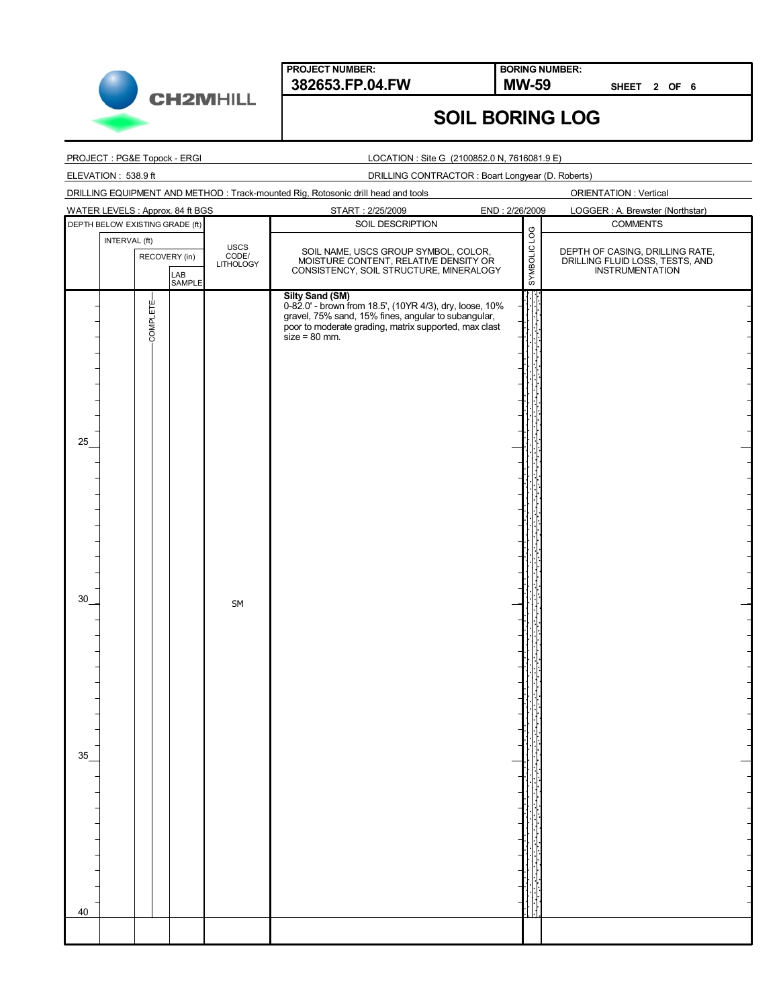

**BORING NUMBER:**

**SHEET 2 OF 6**

## **SOIL BORING LOG**

| PROJECT : PG&E Topock - ERGI                           |                            | LOCATION : Site G (2100852.0 N, 7616081.9 E)                                                                                                                                                                         |                                                                                              |
|--------------------------------------------------------|----------------------------|----------------------------------------------------------------------------------------------------------------------------------------------------------------------------------------------------------------------|----------------------------------------------------------------------------------------------|
| ELEVATION: 538.9 ft                                    |                            | DRILLING CONTRACTOR: Boart Longyear (D. Roberts)                                                                                                                                                                     |                                                                                              |
|                                                        |                            | DRILLING EQUIPMENT AND METHOD: Track-mounted Rig, Rotosonic drill head and tools                                                                                                                                     | <b>ORIENTATION: Vertical</b>                                                                 |
| WATER LEVELS : Approx. 84 ft BGS                       |                            | START: 2/25/2009<br>END: 2/26/2009                                                                                                                                                                                   | LOGGER: A. Brewster (Northstar)                                                              |
| DEPTH BELOW EXISTING GRADE (ft)                        |                            | SOIL DESCRIPTION                                                                                                                                                                                                     | <b>COMMENTS</b>                                                                              |
| INTERVAL (ft)<br>RECOVERY (in)<br>LAB<br><b>SAMPLE</b> | USCS<br>CODE/<br>LITHOLOGY | SAMBOLIC FOG<br>SOIL NAME, USCS GROUP SYMBOL, COLOR,<br>MOISTURE CONTENT, RELATIVE DENSITY OR<br>CONSISTENCY, SOIL STRUCTURE, MINERALOGY                                                                             | DEPTH OF CASING, DRILLING RATE,<br>DRILLING FLUID LOSS, TESTS, AND<br><b>INSTRUMENTATION</b> |
| COMPLETE-<br>25<br>30<br>35<br>40                      | SM                         | <b>Silty Sand (SM)</b><br>0-82.0' - brown from 18.5', (10YR 4/3), dry, loose, 10%<br>gravel, 75% sand, 15% fines, angular to subangular,<br>poor to moderate grading, matrix supported, max clast<br>$size = 80$ mm. |                                                                                              |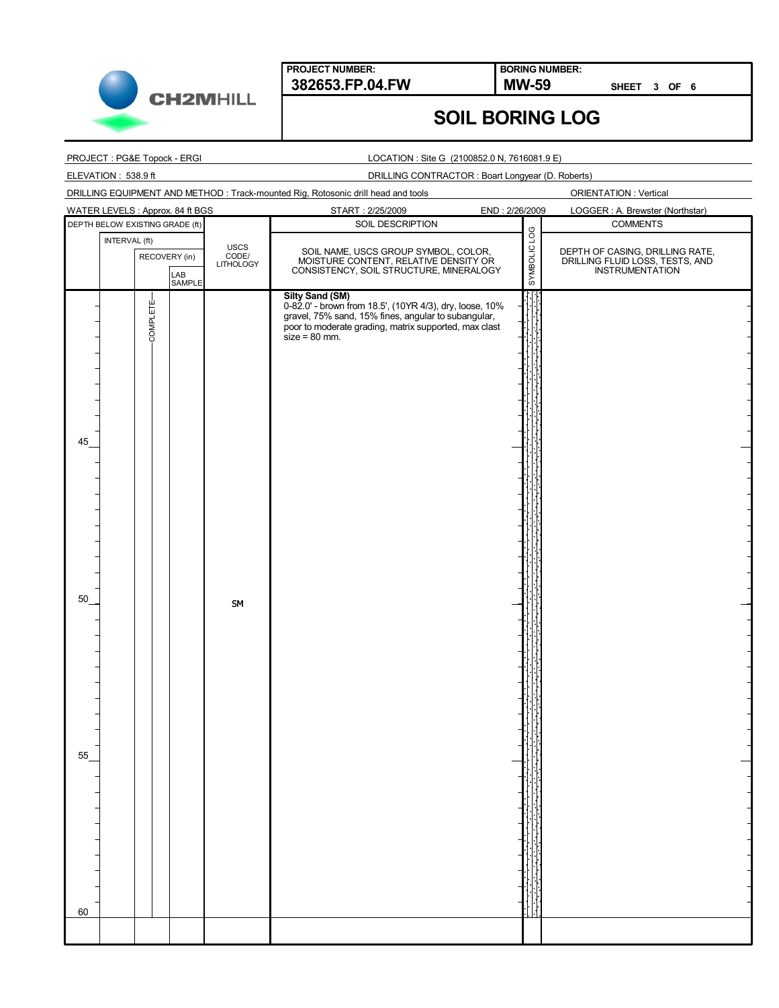

**BORING NUMBER:**

**MW-59** SHEET 3 OF 6

## **SOIL BORING LOG**

#### PROJECT : PG&E Topock - ERGI

ELEVATION : 538.9 ft

#### LOCATION : Site G (2100852.0 N, 7616081.9 E)

#### DRILLING CONTRACTOR : Boart Longyear (D. Roberts)

|                                                                                  | <b>PINLETTO OUTTIV</b> |
|----------------------------------------------------------------------------------|------------------------|
|                                                                                  |                        |
| DRILLING EQUIPMENT AND METHOD: Track-mounted Rig, Rotosonic drill head and tools |                        |
|                                                                                  |                        |

ORIENTATION : Vertical

| WATER LEVELS : Approx. 84 ft BGS |               |           |                                |                            | START: 2/25/2009                                                                                                                                                                                              | END: 2/26/2009 | LOGGER : A. Brewster (Northstar)                                                      |
|----------------------------------|---------------|-----------|--------------------------------|----------------------------|---------------------------------------------------------------------------------------------------------------------------------------------------------------------------------------------------------------|----------------|---------------------------------------------------------------------------------------|
| DEPTH BELOW EXISTING GRADE (ft)  |               |           |                                |                            | SOIL DESCRIPTION                                                                                                                                                                                              |                | <b>COMMENTS</b>                                                                       |
|                                  | INTERVAL (ft) |           |                                |                            |                                                                                                                                                                                                               |                |                                                                                       |
|                                  |               |           | RECOVERY (in)<br>LAB<br>SAMPLE | USCS<br>CODE/<br>LITHOLOGY | SOIL NAME, USCS GROUP SYMBOL, COLOR,<br>MOISTURE CONTENT, RELATIVE DENSITY OR<br>CONSISTENCY, SOIL STRUCTURE, MINERALOGY                                                                                      | SYMBOLIC LOG   | DEPTH OF CASING, DRILLING RATE,<br>DRILLING FLUID LOSS, TESTS, AND<br>INSTRUMENTATION |
| 45                               |               | COMPLETE- |                                |                            | Silty Sand (SM)<br>0-82.0' - brown from 18.5', (10YR 4/3), dry, loose, 10%<br>gravel, 75% sand, 15% fines, angular to subangular,<br>poor to moderate grading, matrix supported, max clast<br>$size = 80$ mm. |                |                                                                                       |
| 50                               |               |           |                                | ${\sf SM}$                 |                                                                                                                                                                                                               |                |                                                                                       |
| 55<br>60                         |               |           |                                |                            |                                                                                                                                                                                                               |                |                                                                                       |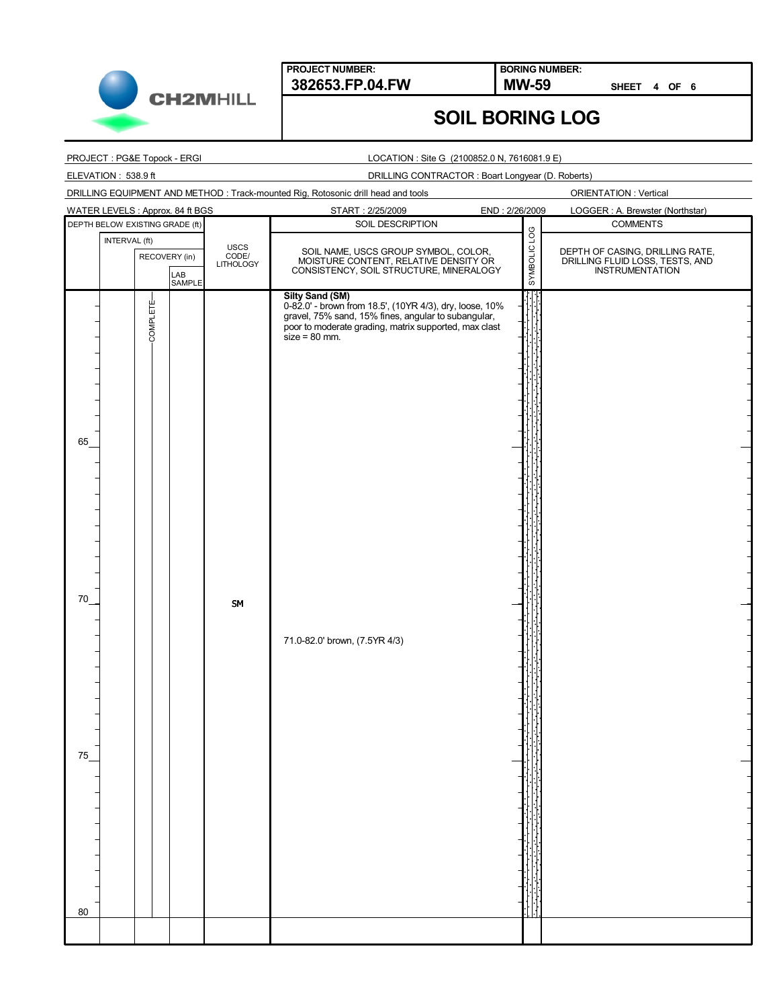

80

**PROJECT NUMBER: 382653.FP.04.FW MW-59**

**BORING NUMBER:**

**SHEET 4 OF 6**

# **SOIL BORING LOG**

| PROJECT : PG&E Topock - ERGI                                                      | LOCATION : Site G (2100852.0 N, 7616081.9 E)                                                                                                                                                                                                          |                                                                                              |  |  |  |
|-----------------------------------------------------------------------------------|-------------------------------------------------------------------------------------------------------------------------------------------------------------------------------------------------------------------------------------------------------|----------------------------------------------------------------------------------------------|--|--|--|
| ELEVATION: 538.9 ft                                                               |                                                                                                                                                                                                                                                       | DRILLING CONTRACTOR: Boart Longyear (D. Roberts)                                             |  |  |  |
| DRILLING EQUIPMENT AND METHOD : Track-mounted Rig, Rotosonic drill head and tools |                                                                                                                                                                                                                                                       | <b>ORIENTATION: Vertical</b>                                                                 |  |  |  |
| WATER LEVELS: Approx. 84 ft BGS                                                   | END: 2/26/2009<br>START: 2/25/2009                                                                                                                                                                                                                    | LOGGER: A. Brewster (Northstar)                                                              |  |  |  |
| DEPTH BELOW EXISTING GRADE (ft)                                                   | SOIL DESCRIPTION                                                                                                                                                                                                                                      | <b>COMMENTS</b>                                                                              |  |  |  |
| INTERVAL (ft)<br><b>USCS</b><br>CODE/<br>LITHOLOGY<br>RECOVERY (in)<br>LAB        | SYMBOLIC LOG<br>SOIL NAME, USCS GROUP SYMBOL, COLOR,<br>MOISTURE CONTENT, RELATIVE DENSITY OR<br>CONSISTENCY, SOIL STRUCTURE, MINERALOGY                                                                                                              | DEPTH OF CASING, DRILLING RATE,<br>DRILLING FLUID LOSS, TESTS, AND<br><b>INSTRUMENTATION</b> |  |  |  |
| SAMPLE<br>COMPLETE-<br>65<br>70<br><b>SM</b><br>75                                | <b>Silty Sand (SM)</b><br>0-82.0' - brown from 18.5', (10YR 4/3), dry, loose, 10%<br>gravel, 75% sand, 15% fines, angular to subangular,<br>poor to moderate grading, matrix supported, max clast<br>$size = 80$ mm.<br>71.0-82.0' brown, (7.5YR 4/3) |                                                                                              |  |  |  |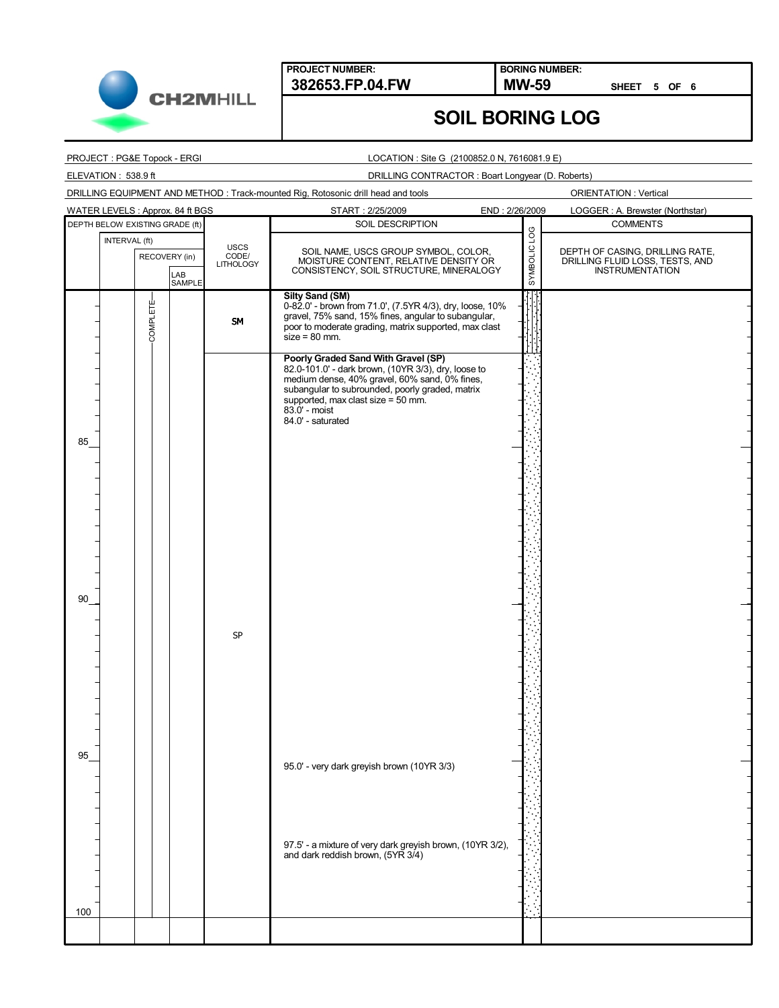

**BORING NUMBER:**

**SHEET 5 OF 6**

## **SOIL BORING LOG**

#### PROJECT : PG&E Topock - ERGI

#### LOCATION : Site G (2100852.0 N, 7616081.9 E)

### ELEVATION : 538.9 ft DRILLING CONTRACTOR : Boart Longyear (D. Roberts) DRILLING EQUIPMENT AND METHOD : Track-mounted Rig, Rotosonic drill head and tools ORIENTATION : Vertical WATER LEVELS : Approx. 84 ft BGS START : 2/25/2009 END : 2/26/2009 LOGGER : A. Brewster (Northstar) SOIL DESCRIPTION DEPTH BELOW EXISTING GRADE (ft) SOIL DESCRIPTION SOIL DESCRIPTION INTERVAL (ft) **USCS SYMBOLIC** SOIL NAME, USCS GROUP SYMBOL, COLOR DEPTH OF CASING, DRILLING RATE, RECOVERY (in) CODE/ MOISTURE CONTENT, RELATIVE DENSITY OR **LITHOLOGY** DRILLING FLUID LOSS, TESTS, AND INSTRUMENTATION CONSISTENCY, SOIL STRUCTURE, MINERALOGY LAB SAMPLE **Silty Sand (SM)** COMPLETE-0-82.0' - brown from 71.0', (7.5YR 4/3), dry, loose, 10% COMPLETEgravel, 75% sand, 15% fines, angular to subangular, SM poor to moderate grading, matrix supported, max clast  $size = 80$  mm. **Poorly Graded Sand With Gravel (SP)** 82.0-101.0' - dark brown, (10YR 3/3), dry, loose to medium dense, 40% gravel, 60% sand, 0% fines, subangular to subrounded, poorly graded, matrix supported, max clast size = 50 mm. 83.0' - moist 84.0' - saturated 85 90 SP 95 95.0' - very dark greyish brown (10YR 3/3) 97.5' - a mixture of very dark greyish brown, (10YR 3/2), and dark reddish brown, (5YR 3/4) 100